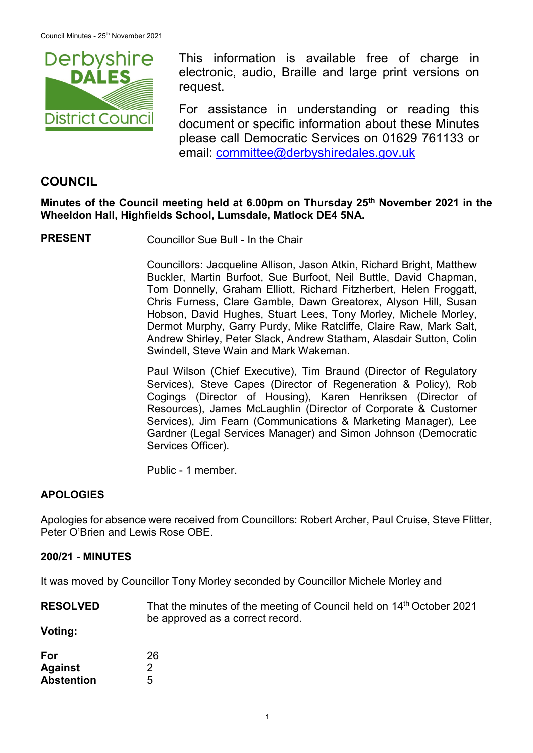

This information is available free of charge in electronic, audio, Braille and large print versions on request.

For assistance in understanding or reading this document or specific information about these Minutes please call Democratic Services on 01629 761133 or email: [committee@derbyshiredales.gov.uk](mailto:brian.evans@derbyshiredales.gov.uk)

# **COUNCIL**

**Minutes of the Council meeting held at 6.00pm on Thursday 25th November 2021 in the Wheeldon Hall, Highfields School, Lumsdale, Matlock DE4 5NA.**

**PRESENT** Councillor Sue Bull - In the Chair

Councillors: Jacqueline Allison, Jason Atkin, Richard Bright, Matthew Buckler, Martin Burfoot, Sue Burfoot, Neil Buttle, David Chapman, Tom Donnelly, Graham Elliott, Richard Fitzherbert, Helen Froggatt, Chris Furness, Clare Gamble, Dawn Greatorex, Alyson Hill, Susan Hobson, David Hughes, Stuart Lees, Tony Morley, Michele Morley, Dermot Murphy, Garry Purdy, Mike Ratcliffe, Claire Raw, Mark Salt, Andrew Shirley, Peter Slack, Andrew Statham, Alasdair Sutton, Colin Swindell, Steve Wain and Mark Wakeman.

Paul Wilson (Chief Executive), Tim Braund (Director of Regulatory Services), Steve Capes (Director of Regeneration & Policy), Rob Cogings (Director of Housing), Karen Henriksen (Director of Resources), James McLaughlin (Director of Corporate & Customer Services), Jim Fearn (Communications & Marketing Manager), Lee Gardner (Legal Services Manager) and Simon Johnson (Democratic Services Officer).

Public - 1 member.

## **APOLOGIES**

Apologies for absence were received from Councillors: Robert Archer, Paul Cruise, Steve Flitter, Peter O'Brien and Lewis Rose OBE.

### **200/21 - MINUTES**

It was moved by Councillor Tony Morley seconded by Councillor Michele Morley and

**RESOLVED** That the minutes of the meeting of Council held on 14<sup>th</sup> October 2021 be approved as a correct record.

**Voting:**

| For               | 26 |
|-------------------|----|
| <b>Against</b>    | 2  |
| <b>Abstention</b> | 5  |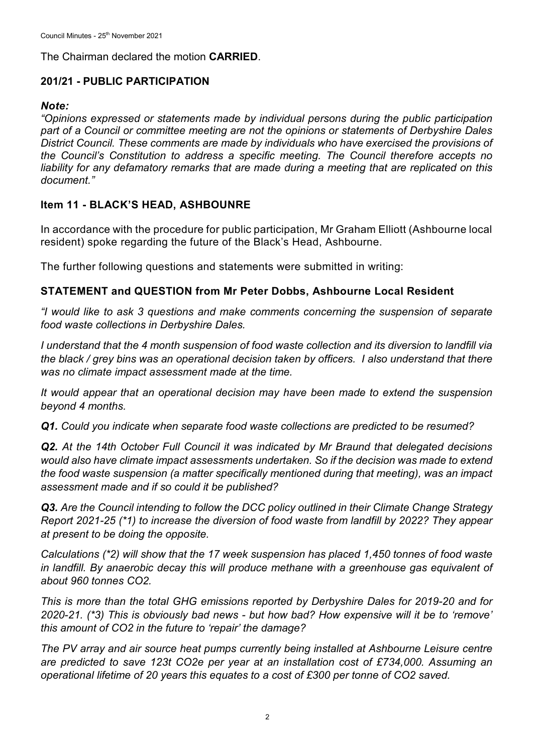The Chairman declared the motion **CARRIED**.

## **201/21 - PUBLIC PARTICIPATION**

#### *Note:*

*"Opinions expressed or statements made by individual persons during the public participation part of a Council or committee meeting are not the opinions or statements of Derbyshire Dales District Council. These comments are made by individuals who have exercised the provisions of the Council's Constitution to address a specific meeting. The Council therefore accepts no liability for any defamatory remarks that are made during a meeting that are replicated on this document."*

# **Item 11 - BLACK'S HEAD, ASHBOUNRE**

In accordance with the procedure for public participation, Mr Graham Elliott (Ashbourne local resident) spoke regarding the future of the Black's Head, Ashbourne.

The further following questions and statements were submitted in writing:

## **STATEMENT and QUESTION from Mr Peter Dobbs, Ashbourne Local Resident**

*"I would like to ask 3 questions and make comments concerning the suspension of separate food waste collections in Derbyshire Dales.*

*I understand that the 4 month suspension of food waste collection and its diversion to landfill via the black / grey bins was an operational decision taken by officers. I also understand that there was no climate impact assessment made at the time.*

*It would appear that an operational decision may have been made to extend the suspension beyond 4 months.*

*Q1. Could you indicate when separate food waste collections are predicted to be resumed?*

*Q2. At the 14th October Full Council it was indicated by Mr Braund that delegated decisions would also have climate impact assessments undertaken. So if the decision was made to extend the food waste suspension (a matter specifically mentioned during that meeting), was an impact assessment made and if so could it be published?*

*Q3. Are the Council intending to follow the DCC policy outlined in their Climate Change Strategy Report 2021-25 (\*1) to increase the diversion of food waste from landfill by 2022? They appear at present to be doing the opposite.*

*Calculations (\*2) will show that the 17 week suspension has placed 1,450 tonnes of food waste in landfill. By anaerobic decay this will produce methane with a greenhouse gas equivalent of about 960 tonnes CO2.*

*This is more than the total GHG emissions reported by Derbyshire Dales for 2019-20 and for 2020-21. (\*3) This is obviously bad news - but how bad? How expensive will it be to 'remove' this amount of CO2 in the future to 'repair' the damage?*

*The PV array and air source heat pumps currently being installed at Ashbourne Leisure centre are predicted to save 123t CO2e per year at an installation cost of £734,000. Assuming an operational lifetime of 20 years this equates to a cost of £300 per tonne of CO2 saved.*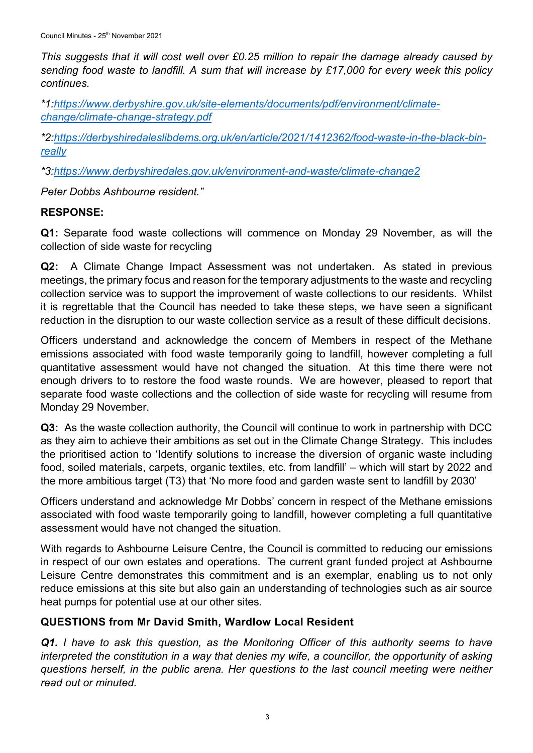*This suggests that it will cost well over £0.25 million to repair the damage already caused by sending food waste to landfill. A sum that will increase by £17,000 for every week this policy continues.*

*\*1[:https://www.derbyshire.gov.uk/site-elements/documents/pdf/environment/climate](https://www.derbyshire.gov.uk/site-elements/documents/pdf/environment/climate-change/climate-change-strategy.pdf)[change/climate-change-strategy.pdf](https://www.derbyshire.gov.uk/site-elements/documents/pdf/environment/climate-change/climate-change-strategy.pdf)*

*\*2[:https://derbyshiredaleslibdems.org.uk/en/article/2021/1412362/food-waste-in-the-black-bin](https://derbyshiredaleslibdems.org.uk/en/article/2021/1412362/food-waste-in-the-black-bin-really)[really](https://derbyshiredaleslibdems.org.uk/en/article/2021/1412362/food-waste-in-the-black-bin-really)*

*\*3[:https://www.derbyshiredales.gov.uk/environment-and-waste/climate-change2](https://www.derbyshiredales.gov.uk/environment-and-waste/climate-change2)*

*Peter Dobbs Ashbourne resident."*

# **RESPONSE:**

**Q1:** Separate food waste collections will commence on Monday 29 November, as will the collection of side waste for recycling

**Q2:** A Climate Change Impact Assessment was not undertaken. As stated in previous meetings, the primary focus and reason for the temporary adjustments to the waste and recycling collection service was to support the improvement of waste collections to our residents. Whilst it is regrettable that the Council has needed to take these steps, we have seen a significant reduction in the disruption to our waste collection service as a result of these difficult decisions.

Officers understand and acknowledge the concern of Members in respect of the Methane emissions associated with food waste temporarily going to landfill, however completing a full quantitative assessment would have not changed the situation. At this time there were not enough drivers to to restore the food waste rounds. We are however, pleased to report that separate food waste collections and the collection of side waste for recycling will resume from Monday 29 November.

**Q3:** As the waste collection authority, the Council will continue to work in partnership with DCC as they aim to achieve their ambitions as set out in the Climate Change Strategy. This includes the prioritised action to 'Identify solutions to increase the diversion of organic waste including food, soiled materials, carpets, organic textiles, etc. from landfill' – which will start by 2022 and the more ambitious target (T3) that 'No more food and garden waste sent to landfill by 2030'

Officers understand and acknowledge Mr Dobbs' concern in respect of the Methane emissions associated with food waste temporarily going to landfill, however completing a full quantitative assessment would have not changed the situation.

With regards to Ashbourne Leisure Centre, the Council is committed to reducing our emissions in respect of our own estates and operations. The current grant funded project at Ashbourne Leisure Centre demonstrates this commitment and is an exemplar, enabling us to not only reduce emissions at this site but also gain an understanding of technologies such as air source heat pumps for potential use at our other sites.

# **QUESTIONS from Mr David Smith, Wardlow Local Resident**

*Q1. I have to ask this question, as the Monitoring Officer of this authority seems to have*  interpreted the constitution in a way that denies my wife, a councillor, the opportunity of asking *questions herself, in the public arena. Her questions to the last council meeting were neither read out or minuted.*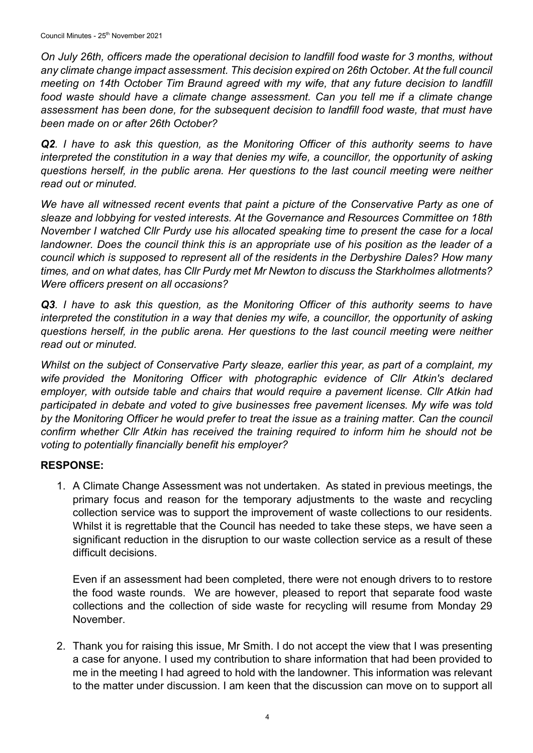*On July 26th, officers made the operational decision to landfill food waste for 3 months, without any climate change impact assessment. This decision expired on 26th October. At the full council meeting on 14th October Tim Braund agreed with my wife, that any future decision to landfill food waste should have a climate change assessment. Can you tell me if a climate change assessment has been done, for the subsequent decision to landfill food waste, that must have been made on or after 26th October?*

*Q2. I have to ask this question, as the Monitoring Officer of this authority seems to have interpreted the constitution in a way that denies my wife, a councillor, the opportunity of asking questions herself, in the public arena. Her questions to the last council meeting were neither read out or minuted.* 

*We have all witnessed recent events that paint a picture of the Conservative Party as one of sleaze and lobbying for vested interests. At the Governance and Resources Committee on 18th November I watched Cllr Purdy use his allocated speaking time to present the case for a local landowner. Does the council think this is an appropriate use of his position as the leader of a council which is supposed to represent all of the residents in the Derbyshire Dales? How many times, and on what dates, has Cllr Purdy met Mr Newton to discuss the Starkholmes allotments? Were officers present on all occasions?*

*Q3. I have to ask this question, as the Monitoring Officer of this authority seems to have*  interpreted the constitution in a way that denies my wife, a councillor, the opportunity of asking *questions herself, in the public arena. Her questions to the last council meeting were neither read out or minuted.* 

*Whilst on the subject of Conservative Party sleaze, earlier this year, as part of a complaint, my wife provided the Monitoring Officer with photographic evidence of Cllr Atkin's declared employer, with outside table and chairs that would require a pavement license. Cllr Atkin had participated in debate and voted to give businesses free pavement licenses. My wife was told*  by the Monitoring Officer he would prefer to treat the issue as a training matter. Can the council *confirm whether Cllr Atkin has received the training required to inform him he should not be voting to potentially financially benefit his employer?* 

# **RESPONSE:**

1. A Climate Change Assessment was not undertaken. As stated in previous meetings, the primary focus and reason for the temporary adjustments to the waste and recycling collection service was to support the improvement of waste collections to our residents. Whilst it is regrettable that the Council has needed to take these steps, we have seen a significant reduction in the disruption to our waste collection service as a result of these difficult decisions.

Even if an assessment had been completed, there were not enough drivers to to restore the food waste rounds. We are however, pleased to report that separate food waste collections and the collection of side waste for recycling will resume from Monday 29 November.

2. Thank you for raising this issue, Mr Smith. I do not accept the view that I was presenting a case for anyone. I used my contribution to share information that had been provided to me in the meeting I had agreed to hold with the landowner. This information was relevant to the matter under discussion. I am keen that the discussion can move on to support all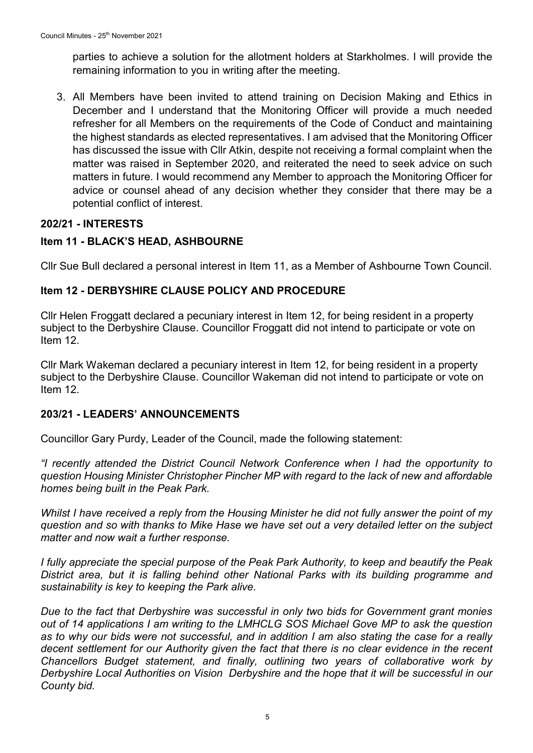parties to achieve a solution for the allotment holders at Starkholmes. I will provide the remaining information to you in writing after the meeting.

3. All Members have been invited to attend training on Decision Making and Ethics in December and I understand that the Monitoring Officer will provide a much needed refresher for all Members on the requirements of the Code of Conduct and maintaining the highest standards as elected representatives. I am advised that the Monitoring Officer has discussed the issue with Cllr Atkin, despite not receiving a formal complaint when the matter was raised in September 2020, and reiterated the need to seek advice on such matters in future. I would recommend any Member to approach the Monitoring Officer for advice or counsel ahead of any decision whether they consider that there may be a potential conflict of interest.

## **202/21 - INTERESTS**

## **Item 11 - BLACK'S HEAD, ASHBOURNE**

Cllr Sue Bull declared a personal interest in Item 11, as a Member of Ashbourne Town Council.

### **Item 12 - DERBYSHIRE CLAUSE POLICY AND PROCEDURE**

Cllr Helen Froggatt declared a pecuniary interest in Item 12, for being resident in a property subject to the Derbyshire Clause. Councillor Froggatt did not intend to participate or vote on Item 12.

Cllr Mark Wakeman declared a pecuniary interest in Item 12, for being resident in a property subject to the Derbyshire Clause. Councillor Wakeman did not intend to participate or vote on Item 12.

#### **203/21 - LEADERS' ANNOUNCEMENTS**

Councillor Gary Purdy, Leader of the Council, made the following statement:

*"I recently attended the District Council Network Conference when I had the opportunity to question Housing Minister Christopher Pincher MP with regard to the lack of new and affordable homes being built in the Peak Park.*

*Whilst I have received a reply from the Housing Minister he did not fully answer the point of my question and so with thanks to Mike Hase we have set out a very detailed letter on the subject matter and now wait a further response.*

*I fully appreciate the special purpose of the Peak Park Authority, to keep and beautify the Peak District area, but it is falling behind other National Parks with its building programme and sustainability is key to keeping the Park alive.*

*Due to the fact that Derbyshire was successful in only two bids for Government grant monies out of 14 applications I am writing to the LMHCLG SOS Michael Gove MP to ask the question as to why our bids were not successful, and in addition I am also stating the case for a really decent settlement for our Authority given the fact that there is no clear evidence in the recent Chancellors Budget statement, and finally, outlining two years of collaborative work by Derbyshire Local Authorities on Vision Derbyshire and the hope that it will be successful in our County bid.*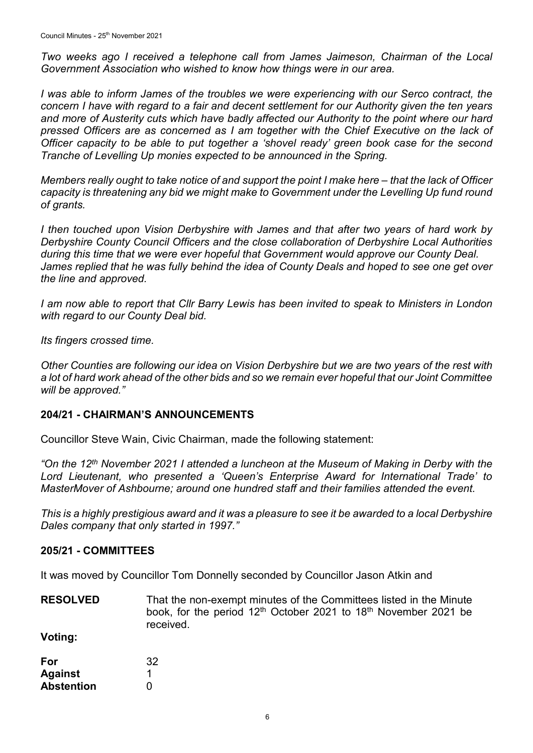*Two weeks ago I received a telephone call from James Jaimeson, Chairman of the Local Government Association who wished to know how things were in our area.*

*I* was able to inform James of the troubles we were experiencing with our Serco contract, the *concern I have with regard to a fair and decent settlement for our Authority given the ten years and more of Austerity cuts which have badly affected our Authority to the point where our hard pressed Officers are as concerned as I am together with the Chief Executive on the lack of Officer capacity to be able to put together a 'shovel ready' green book case for the second Tranche of Levelling Up monies expected to be announced in the Spring.*

*Members really ought to take notice of and support the point I make here – that the lack of Officer capacity is threatening any bid we might make to Government under the Levelling Up fund round of grants.*

*I then touched upon Vision Derbyshire with James and that after two years of hard work by Derbyshire County Council Officers and the close collaboration of Derbyshire Local Authorities during this time that we were ever hopeful that Government would approve our County Deal. James replied that he was fully behind the idea of County Deals and hoped to see one get over the line and approved.*

*I am now able to report that Cllr Barry Lewis has been invited to speak to Ministers in London with regard to our County Deal bid.*

*Its fingers crossed time.*

*Other Counties are following our idea on Vision Derbyshire but we are two years of the rest with a lot of hard work ahead of the other bids and so we remain ever hopeful that our Joint Committee will be approved."*

## **204/21 - CHAIRMAN'S ANNOUNCEMENTS**

Councillor Steve Wain, Civic Chairman, made the following statement:

*"On the 12th November 2021 I attended a luncheon at the Museum of Making in Derby with the Lord Lieutenant, who presented a 'Queen's Enterprise Award for International Trade' to MasterMover of Ashbourne; around one hundred staff and their families attended the event.*

*This is a highly prestigious award and it was a pleasure to see it be awarded to a local Derbyshire Dales company that only started in 1997."*

#### **205/21 - COMMITTEES**

It was moved by Councillor Tom Donnelly seconded by Councillor Jason Atkin and

**RESOLVED** That the non-exempt minutes of the Committees listed in the Minute book, for the period 12<sup>th</sup> October 2021 to 18<sup>th</sup> November 2021 be received.

**Voting:**

| For               | 32 |
|-------------------|----|
| <b>Against</b>    |    |
| <b>Abstention</b> | O  |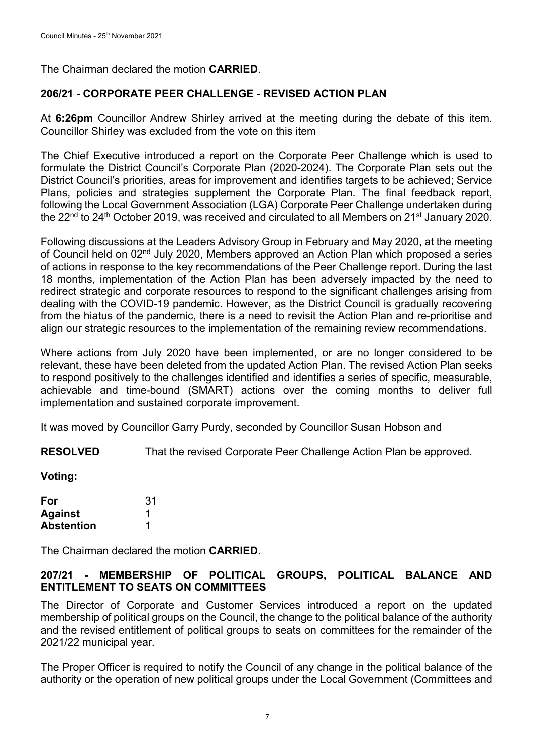The Chairman declared the motion **CARRIED**.

### **206/21 - CORPORATE PEER CHALLENGE - REVISED ACTION PLAN**

At **6:26pm** Councillor Andrew Shirley arrived at the meeting during the debate of this item. Councillor Shirley was excluded from the vote on this item

The Chief Executive introduced a report on the Corporate Peer Challenge which is used to formulate the District Council's Corporate Plan (2020-2024). The Corporate Plan sets out the District Council's priorities, areas for improvement and identifies targets to be achieved; Service Plans, policies and strategies supplement the Corporate Plan. The final feedback report, following the Local Government Association (LGA) Corporate Peer Challenge undertaken during the 22<sup>nd</sup> to 24<sup>th</sup> October 2019, was received and circulated to all Members on 21<sup>st</sup> January 2020.

Following discussions at the Leaders Advisory Group in February and May 2020, at the meeting of Council held on 02<sup>nd</sup> July 2020, Members approved an Action Plan which proposed a series of actions in response to the key recommendations of the Peer Challenge report. During the last 18 months, implementation of the Action Plan has been adversely impacted by the need to redirect strategic and corporate resources to respond to the significant challenges arising from dealing with the COVID-19 pandemic. However, as the District Council is gradually recovering from the hiatus of the pandemic, there is a need to revisit the Action Plan and re-prioritise and align our strategic resources to the implementation of the remaining review recommendations.

Where actions from July 2020 have been implemented, or are no longer considered to be relevant, these have been deleted from the updated Action Plan. The revised Action Plan seeks to respond positively to the challenges identified and identifies a series of specific, measurable, achievable and time-bound (SMART) actions over the coming months to deliver full implementation and sustained corporate improvement.

It was moved by Councillor Garry Purdy, seconded by Councillor Susan Hobson and

**RESOLVED** That the revised Corporate Peer Challenge Action Plan be approved.

**Voting:**

| For               | 31 |
|-------------------|----|
| <b>Against</b>    |    |
| <b>Abstention</b> |    |

The Chairman declared the motion **CARRIED**.

### **207/21 - MEMBERSHIP OF POLITICAL GROUPS, POLITICAL BALANCE AND ENTITLEMENT TO SEATS ON COMMITTEES**

The Director of Corporate and Customer Services introduced a report on the updated membership of political groups on the Council, the change to the political balance of the authority and the revised entitlement of political groups to seats on committees for the remainder of the 2021/22 municipal year.

The Proper Officer is required to notify the Council of any change in the political balance of the authority or the operation of new political groups under the Local Government (Committees and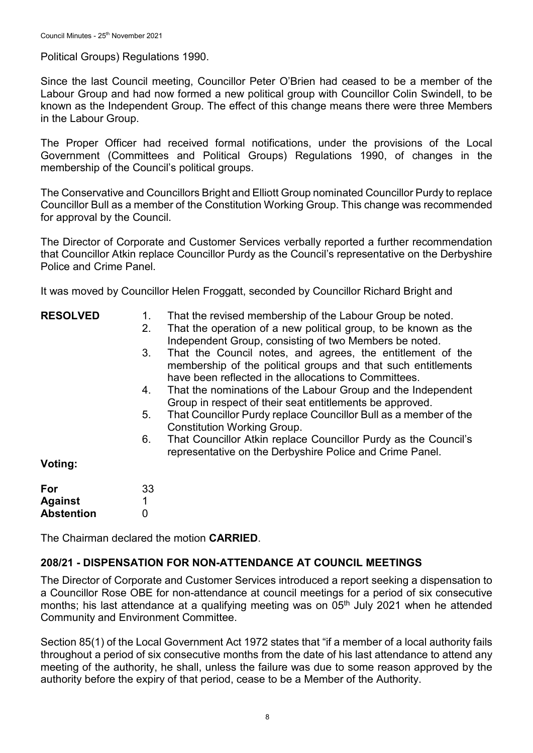Political Groups) Regulations 1990.

Since the last Council meeting, Councillor Peter O'Brien had ceased to be a member of the Labour Group and had now formed a new political group with Councillor Colin Swindell, to be known as the Independent Group. The effect of this change means there were three Members in the Labour Group.

The Proper Officer had received formal notifications, under the provisions of the Local Government (Committees and Political Groups) Regulations 1990, of changes in the membership of the Council's political groups.

The Conservative and Councillors Bright and Elliott Group nominated Councillor Purdy to replace Councillor Bull as a member of the Constitution Working Group. This change was recommended for approval by the Council.

The Director of Corporate and Customer Services verbally reported a further recommendation that Councillor Atkin replace Councillor Purdy as the Council's representative on the Derbyshire Police and Crime Panel.

It was moved by Councillor Helen Froggatt, seconded by Councillor Richard Bright and

#### **RESOLVED**

- 1. That the revised membership of the Labour Group be noted.
- 2. That the operation of a new political group, to be known as the Independent Group, consisting of two Members be noted.
- 3. That the Council notes, and agrees, the entitlement of the membership of the political groups and that such entitlements have been reflected in the allocations to Committees.
- 4. That the nominations of the Labour Group and the Independent Group in respect of their seat entitlements be approved.
- 5. That Councillor Purdy replace Councillor Bull as a member of the Constitution Working Group.
- 6. That Councillor Atkin replace Councillor Purdy as the Council's representative on the Derbyshire Police and Crime Panel.

#### **Voting:**

| For               | 33 |
|-------------------|----|
| <b>Against</b>    |    |
| <b>Abstention</b> | O  |

The Chairman declared the motion **CARRIED**.

#### **208/21 - DISPENSATION FOR NON-ATTENDANCE AT COUNCIL MEETINGS**

The Director of Corporate and Customer Services introduced a report seeking a dispensation to a Councillor Rose OBE for non-attendance at council meetings for a period of six consecutive months; his last attendance at a qualifying meeting was on  $05<sup>th</sup>$  July 2021 when he attended Community and Environment Committee.

Section 85(1) of the Local Government Act 1972 states that "if a member of a local authority fails throughout a period of six consecutive months from the date of his last attendance to attend any meeting of the authority, he shall, unless the failure was due to some reason approved by the authority before the expiry of that period, cease to be a Member of the Authority.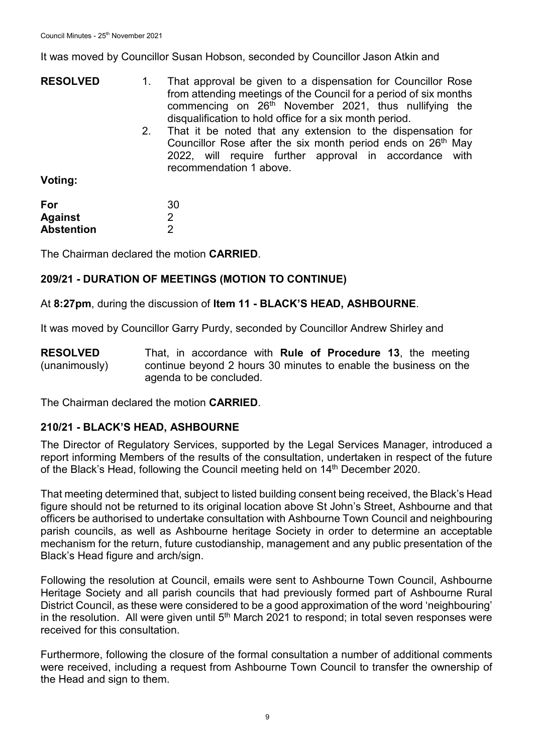It was moved by Councillor Susan Hobson, seconded by Councillor Jason Atkin and

| <b>RESOLVED</b> |    | That approval be given to a dispensation for Councillor Rose<br>from attending meetings of the Council for a period of six months<br>commencing on 26 <sup>th</sup> November 2021, thus nullifying the<br>disqualification to hold office for a six month period. |  |
|-----------------|----|-------------------------------------------------------------------------------------------------------------------------------------------------------------------------------------------------------------------------------------------------------------------|--|
| Voting:         | 2. | That it be noted that any extension to the dispensation for<br>Councillor Rose after the six month period ends on 26 <sup>th</sup> May<br>2022, will require further approval in accordance with<br>recommendation 1 above.                                       |  |

| For               |  |
|-------------------|--|
| <b>Against</b>    |  |
| <b>Abstention</b> |  |

The Chairman declared the motion **CARRIED**.

30 2  $\mathfrak{p}$ 

## **209/21 - DURATION OF MEETINGS (MOTION TO CONTINUE)**

At **8:27pm**, during the discussion of **Item 11 - BLACK'S HEAD, ASHBOURNE**.

It was moved by Councillor Garry Purdy, seconded by Councillor Andrew Shirley and

**RESOLVED** (unanimously) That, in accordance with **Rule of Procedure 13**, the meeting continue beyond 2 hours 30 minutes to enable the business on the agenda to be concluded.

The Chairman declared the motion **CARRIED**.

## **210/21 - BLACK'S HEAD, ASHBOURNE**

The Director of Regulatory Services, supported by the Legal Services Manager, introduced a report informing Members of the results of the consultation, undertaken in respect of the future of the Black's Head, following the Council meeting held on 14<sup>th</sup> December 2020.

That meeting determined that, subject to listed building consent being received, the Black's Head figure should not be returned to its original location above St John's Street, Ashbourne and that officers be authorised to undertake consultation with Ashbourne Town Council and neighbouring parish councils, as well as Ashbourne heritage Society in order to determine an acceptable mechanism for the return, future custodianship, management and any public presentation of the Black's Head figure and arch/sign.

Following the resolution at Council, emails were sent to Ashbourne Town Council, Ashbourne Heritage Society and all parish councils that had previously formed part of Ashbourne Rural District Council, as these were considered to be a good approximation of the word 'neighbouring' in the resolution. All were given until 5<sup>th</sup> March 2021 to respond; in total seven responses were received for this consultation.

Furthermore, following the closure of the formal consultation a number of additional comments were received, including a request from Ashbourne Town Council to transfer the ownership of the Head and sign to them.